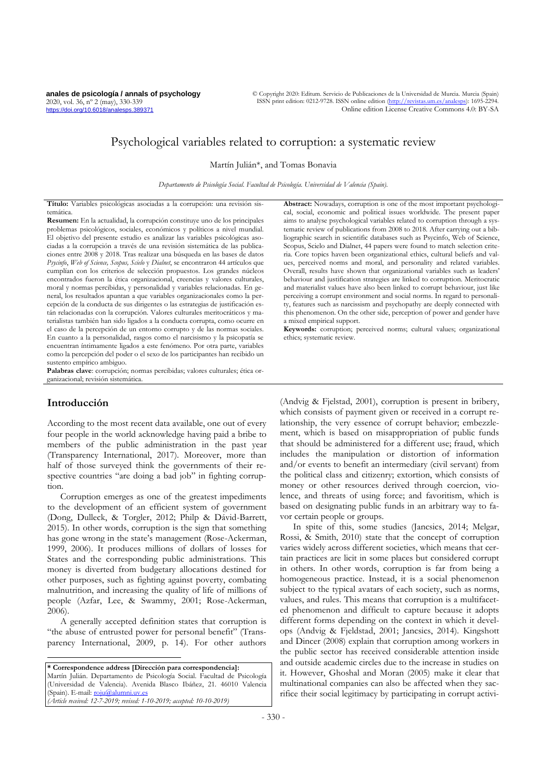**anales de psicología / annals of psychology** 2020, vol. 36, nº 2 (may), 330-339 https://doi.org/10.6018/analesps.389371

© Copyright 2020: Editum. Servicio de Publicaciones de la Universidad de Murcia. Murcia (Spain) ISSN print edition: 0212-9728. ISSN online edition (http://revistas.um Online edition License Creative Commons 4.0: BY-SA

# Psychological variables related to corruption: a systematic review

Martín Julián\*, and Tomas Bonavia

*Departamento de Psicología Social. Facultad de Psicología. Universidad de Valencia (Spain).*

**Título:** Variables psicológicas asociadas a la corrupción: una revisión sistemática.

**Resumen:** En la actualidad, la corrupción constituye uno de los principales problemas psicológicos, sociales, económicos y políticos a nivel mundial. El objetivo del presente estudio es analizar las variables psicológicas asociadas a la corrupción a través de una revisión sistemática de las publicaciones entre 2008 y 2018. Tras realizar una búsqueda en las bases de datos *Psycinfo*, *Web of Science, Scopus, Scielo* y *Dialnet*, se encontraron 44 artículos que cumplían con los criterios de selección propuestos. Los grandes núcleos encontrados fueron la ética organizacional, creencias y valores culturales, moral y normas percibidas, y personalidad y variables relacionadas. En general, los resultados apuntan a que variables organizacionales como la percepción de la conducta de sus dirigentes o las estrategias de justificación están relacionadas con la corrupción. Valores culturales meritocráticos y materialistas también han sido ligados a la conducta corrupta, como ocurre en el caso de la percepción de un entorno corrupto y de las normas sociales. En cuanto a la personalidad, rasgos como el narcisismo y la psicopatía se encuentran íntimamente ligados a este fenómeno. Por otra parte, variables como la percepción del poder o el sexo de los participantes han recibido un sustento empírico ambiguo.

**Palabras clave**: corrupción; normas percibidas; valores culturales; ética organizacional; revisión sistemática.

# **Introducción**

According to the most recent data available, one out of every four people in the world acknowledge having paid a bribe to members of the public administration in the past year (Transparency International, 2017). Moreover, more than half of those surveyed think the governments of their respective countries "are doing a bad job" in fighting corruption.

Corruption emerges as one of the greatest impediments to the development of an efficient system of government (Dong, Dulleck, & Torgler, 2012; Philp & Dávid-Barrett, 2015). In other words, corruption is the sign that something has gone wrong in the state's management (Rose-Ackerman, 1999, 2006). It produces millions of dollars of losses for States and the corresponding public administrations. This money is diverted from budgetary allocations destined for other purposes, such as fighting against poverty, combating malnutrition, and increasing the quality of life of millions of people (Azfar, Lee, & Swammy, 2001; Rose-Ackerman, 2006).

A generally accepted definition states that corruption is "the abuse of entrusted power for personal benefit" (Transparency International, 2009, p. 14). For other authors

**\* Correspondence address [Dirección para correspondencia]:** Martín Julián. Departamento de Psicología Social. Facultad de Psicología (Universidad de Valencia). Avenida Blasco Ibáñez, 21. 46010 Valencia (Spain). E-mail[: roju@alumni.uv.es](mailto:roju@alumni.uv.es) *(Article received: 12-7-2019; revised: 1-10-2019; accepted: 10-10-2019)*

**Abstract:** Nowadays, corruption is one of the most important psychological, social, economic and political issues worldwide. The present paper aims to analyse psychological variables related to corruption through a systematic review of publications from 2008 to 2018. After carrying out a bibliographic search in scientific databases such as Psycinfo, Web of Science, Scopus, Scielo and Dialnet, 44 papers were found to match selection criteria. Core topics haven been organizational ethics, cultural beliefs and values, perceived norms and moral, and personality and related variables. Overall, results have shown that organizational variables such as leaders' behaviour and justification strategies are linked to corruption. Meritocratic and materialist values have also been linked to corrupt behaviour, just like perceiving a corrupt environment and social norms. In regard to personality, features such as narcissism and psychopathy are deeply connected with this phenomenon. On the other side, perception of power and gender have a mixed empirical support.

**Keywords:** corruption; perceived norms; cultural values; organizational ethics; systematic review.

(Andvig & Fjelstad, 2001), corruption is present in bribery, which consists of payment given or received in a corrupt relationship, the very essence of corrupt behavior; embezzlement, which is based on misappropriation of public funds that should be administered for a different use; fraud, which includes the manipulation or distortion of information and/or events to benefit an intermediary (civil servant) from the political class and citizenry; extortion, which consists of money or other resources derived through coercion, violence, and threats of using force; and favoritism, which is based on designating public funds in an arbitrary way to favor certain people or groups.

In spite of this, some studies (Jancsics, 2014; Melgar, Rossi, & Smith, 2010) state that the concept of corruption varies widely across different societies, which means that certain practices are licit in some places but considered corrupt in others. In other words, corruption is far from being a homogeneous practice. Instead, it is a social phenomenon subject to the typical avatars of each society, such as norms, values, and rules. This means that corruption is a multifaceted phenomenon and difficult to capture because it adopts different forms depending on the context in which it develops (Andvig & Fjeldstad, 2001; Jancsics, 2014). Kingshott and Dincer (2008) explain that corruption among workers in the public sector has received considerable attention inside and outside academic circles due to the increase in studies on it. However, Ghoshal and Moran (2005) make it clear that multinational companies can also be affected when they sacrifice their social legitimacy by participating in corrupt activi-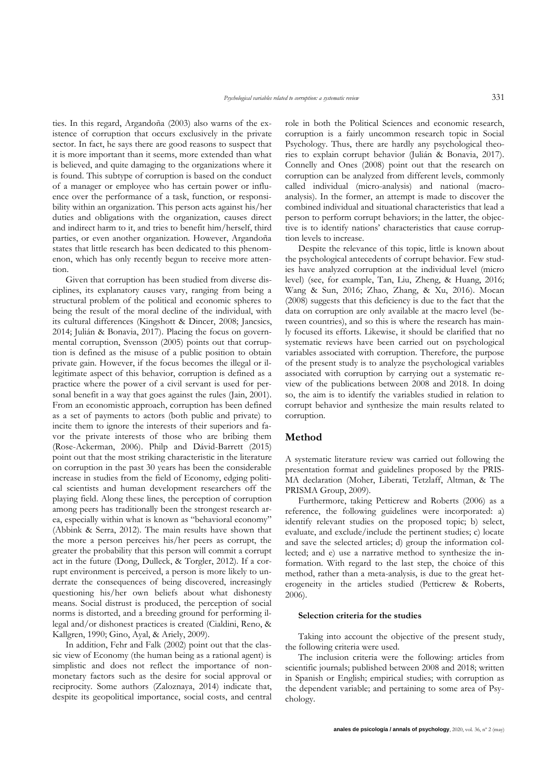ties. In this regard, Argandoña (2003) also warns of the existence of corruption that occurs exclusively in the private sector. In fact, he says there are good reasons to suspect that it is more important than it seems, more extended than what is believed, and quite damaging to the organizations where it is found. This subtype of corruption is based on the conduct of a manager or employee who has certain power or influence over the performance of a task, function, or responsibility within an organization. This person acts against his/her duties and obligations with the organization, causes direct and indirect harm to it, and tries to benefit him/herself, third parties, or even another organization. However, Argandoña states that little research has been dedicated to this phenomenon, which has only recently begun to receive more attention.

Given that corruption has been studied from diverse disciplines, its explanatory causes vary, ranging from being a structural problem of the political and economic spheres to being the result of the moral decline of the individual, with its cultural differences (Kingshott & Dincer, 2008; Jancsics, 2014; Julián & Bonavia, 2017). Placing the focus on governmental corruption, Svensson (2005) points out that corruption is defined as the misuse of a public position to obtain private gain. However, if the focus becomes the illegal or illegitimate aspect of this behavior, corruption is defined as a practice where the power of a civil servant is used for personal benefit in a way that goes against the rules (Jain, 2001). From an economistic approach, corruption has been defined as a set of payments to actors (both public and private) to incite them to ignore the interests of their superiors and favor the private interests of those who are bribing them (Rose-Ackerman, 2006). Philp and Dávid-Barrett (2015) point out that the most striking characteristic in the literature on corruption in the past 30 years has been the considerable increase in studies from the field of Economy, edging political scientists and human development researchers off the playing field. Along these lines, the perception of corruption among peers has traditionally been the strongest research area, especially within what is known as "behavioral economy" (Abbink & Serra, 2012). The main results have shown that the more a person perceives his/her peers as corrupt, the greater the probability that this person will commit a corrupt act in the future (Dong, Dulleck, & Torgler, 2012). If a corrupt environment is perceived, a person is more likely to underrate the consequences of being discovered, increasingly questioning his/her own beliefs about what dishonesty means. Social distrust is produced, the perception of social norms is distorted, and a breeding ground for performing illegal and/or dishonest practices is created (Cialdini, Reno, & Kallgren, 1990; Gino, Ayal, & Ariely, 2009).

In addition, Fehr and Falk (2002) point out that the classic view of Economy (the human being as a rational agent) is simplistic and does not reflect the importance of nonmonetary factors such as the desire for social approval or reciprocity. Some authors (Zaloznaya, 2014) indicate that, despite its geopolitical importance, social costs, and central role in both the Political Sciences and economic research, corruption is a fairly uncommon research topic in Social Psychology. Thus, there are hardly any psychological theories to explain corrupt behavior (Julián & Bonavia, 2017). Connelly and Ones (2008) point out that the research on corruption can be analyzed from different levels, commonly called individual (micro-analysis) and national (macroanalysis). In the former, an attempt is made to discover the combined individual and situational characteristics that lead a person to perform corrupt behaviors; in the latter, the objective is to identify nations' characteristics that cause corruption levels to increase.

Despite the relevance of this topic, little is known about the psychological antecedents of corrupt behavior. Few studies have analyzed corruption at the individual level (micro level) (see, for example, Tan, Liu, Zheng, & Huang, 2016; Wang & Sun, 2016; Zhao, Zhang, & Xu, 2016). Mocan (2008) suggests that this deficiency is due to the fact that the data on corruption are only available at the macro level (between countries), and so this is where the research has mainly focused its efforts. Likewise, it should be clarified that no systematic reviews have been carried out on psychological variables associated with corruption. Therefore, the purpose of the present study is to analyze the psychological variables associated with corruption by carrying out a systematic review of the publications between 2008 and 2018. In doing so, the aim is to identify the variables studied in relation to corrupt behavior and synthesize the main results related to corruption.

# **Method**

A systematic literature review was carried out following the presentation format and guidelines proposed by the PRIS-MA declaration (Moher, Liberati, Tetzlaff, Altman, & The PRISMA Group, 2009).

Furthermore, taking Petticrew and Roberts (2006) as a reference, the following guidelines were incorporated: a) identify relevant studies on the proposed topic; b) select, evaluate, and exclude/include the pertinent studies; c) locate and save the selected articles; d) group the information collected; and e) use a narrative method to synthesize the information. With regard to the last step, the choice of this method, rather than a meta-analysis, is due to the great heterogeneity in the articles studied (Petticrew & Roberts, 2006).

#### **Selection criteria for the studies**

Taking into account the objective of the present study, the following criteria were used.

The inclusion criteria were the following: articles from scientific journals; published between 2008 and 2018; written in Spanish or English; empirical studies; with corruption as the dependent variable; and pertaining to some area of Psychology.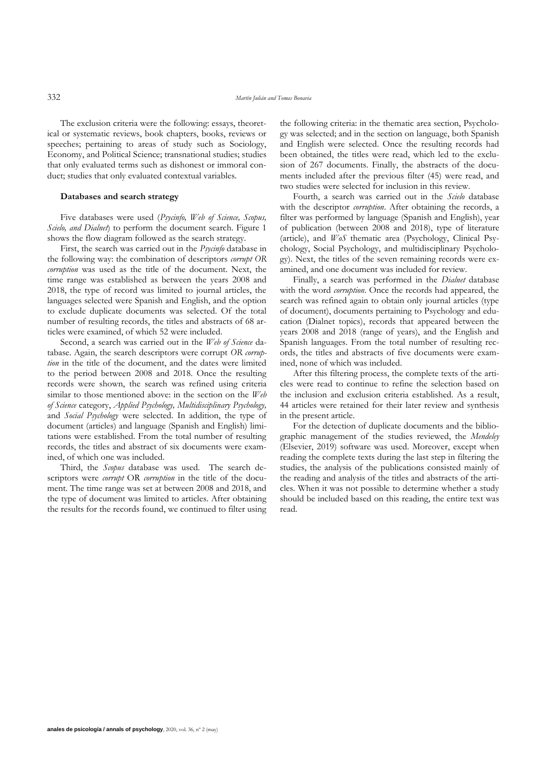The exclusion criteria were the following: essays, theoretical or systematic reviews, book chapters, books, reviews or speeches; pertaining to areas of study such as Sociology, Economy, and Political Science; transnational studies; studies that only evaluated terms such as dishonest or immoral conduct; studies that only evaluated contextual variables.

#### **Databases and search strategy**

Five databases were used (*Psycinfo, Web of Science, Scopus, Scielo, and Dialnet*) to perform the document search. Figure 1 shows the flow diagram followed as the search strategy.

First, the search was carried out in the *Psycinfo* database in the following way: the combination of descriptors *corrupt OR corruption* was used as the title of the document. Next, the time range was established as between the years 2008 and 2018, the type of record was limited to journal articles, the languages selected were Spanish and English, and the option to exclude duplicate documents was selected. Of the total number of resulting records, the titles and abstracts of 68 articles were examined, of which 52 were included.

Second, a search was carried out in the *Web of Science* database. Again, the search descriptors were corrupt *OR corruption* in the title of the document, and the dates were limited to the period between 2008 and 2018. Once the resulting records were shown, the search was refined using criteria similar to those mentioned above: in the section on the *Web of Science* category, *Applied Psychology, Multidisciplinary Psychology,*  and *Social Psychology* were selected. In addition, the type of document (articles) and language (Spanish and English) limitations were established. From the total number of resulting records, the titles and abstract of six documents were examined, of which one was included.

Third, the *Scopus* database was used. The search descriptors were *corrupt* OR *corruption* in the title of the document. The time range was set at between 2008 and 2018, and the type of document was limited to articles. After obtaining the results for the records found, we continued to filter using the following criteria: in the thematic area section, Psychology was selected; and in the section on language, both Spanish and English were selected. Once the resulting records had been obtained, the titles were read, which led to the exclusion of 267 documents. Finally, the abstracts of the documents included after the previous filter (45) were read, and two studies were selected for inclusion in this review.

Fourth, a search was carried out in the *Scielo* database with the descriptor *corruption*. After obtaining the records, a filter was performed by language (Spanish and English), year of publication (between 2008 and 2018), type of literature (article), and *WoS* thematic area (Psychology, Clinical Psychology, Social Psychology, and multidisciplinary Psychology). Next, the titles of the seven remaining records were examined, and one document was included for review.

Finally, a search was performed in the *Dialnet* database with the word *corruption*. Once the records had appeared, the search was refined again to obtain only journal articles (type of document), documents pertaining to Psychology and education (Dialnet topics), records that appeared between the years 2008 and 2018 (range of years), and the English and Spanish languages. From the total number of resulting records, the titles and abstracts of five documents were examined, none of which was included.

After this filtering process, the complete texts of the articles were read to continue to refine the selection based on the inclusion and exclusion criteria established. As a result, 44 articles were retained for their later review and synthesis in the present article.

For the detection of duplicate documents and the bibliographic management of the studies reviewed, the *Mendeley*  (Elsevier, 2019) software was used. Moreover, except when reading the complete texts during the last step in filtering the studies, the analysis of the publications consisted mainly of the reading and analysis of the titles and abstracts of the articles. When it was not possible to determine whether a study should be included based on this reading, the entire text was read.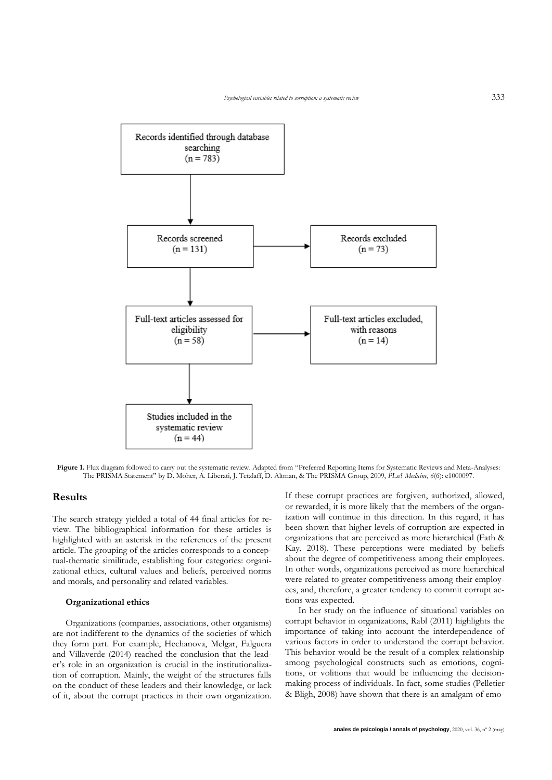

**Figure 1.** Flux diagram followed to carry out the systematic review. Adapted from "Preferred Reporting Items for Systematic Reviews and Meta-Analyses: The PRISMA Statement" by D. Moher, A. Liberati, J. Tetzlaff, D. Altman, & The PRISMA Group, 2009, *PLoS Medicine, 6*(6): e1000097.

## **Results**

The search strategy yielded a total of 44 final articles for review. The bibliographical information for these articles is highlighted with an asterisk in the references of the present article. The grouping of the articles corresponds to a conceptual-thematic similitude, establishing four categories: organizational ethics, cultural values and beliefs, perceived norms and morals, and personality and related variables.

#### **Organizational ethics**

Organizations (companies, associations, other organisms) are not indifferent to the dynamics of the societies of which they form part. For example, Hechanova, Melgar, Falguera and Villaverde (2014) reached the conclusion that the leader's role in an organization is crucial in the institutionalization of corruption. Mainly, the weight of the structures falls on the conduct of these leaders and their knowledge, or lack of it, about the corrupt practices in their own organization.

If these corrupt practices are forgiven, authorized, allowed, or rewarded, it is more likely that the members of the organization will continue in this direction. In this regard, it has been shown that higher levels of corruption are expected in organizations that are perceived as more hierarchical (Fath & Kay, 2018). These perceptions were mediated by beliefs about the degree of competitiveness among their employees. In other words, organizations perceived as more hierarchical were related to greater competitiveness among their employees, and, therefore, a greater tendency to commit corrupt actions was expected.

In her study on the influence of situational variables on corrupt behavior in organizations, Rabl (2011) highlights the importance of taking into account the interdependence of various factors in order to understand the corrupt behavior. This behavior would be the result of a complex relationship among psychological constructs such as emotions, cognitions, or volitions that would be influencing the decisionmaking process of individuals. In fact, some studies (Pelletier & Bligh, 2008) have shown that there is an amalgam of emo-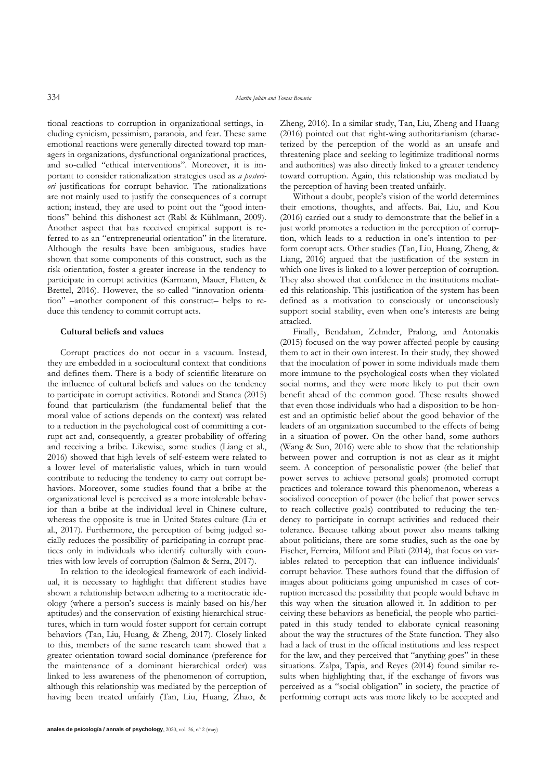tional reactions to corruption in organizational settings, including cynicism, pessimism, paranoia, and fear. These same emotional reactions were generally directed toward top managers in organizations, dysfunctional organizational practices, and so-called "ethical interventions". Moreover, it is important to consider rationalization strategies used as *a posteriori* justifications for corrupt behavior. The rationalizations are not mainly used to justify the consequences of a corrupt action; instead, they are used to point out the "good intentions" behind this dishonest act (Rabl & Kühlmann, 2009). Another aspect that has received empirical support is referred to as an "entrepreneurial orientation" in the literature. Although the results have been ambiguous, studies have shown that some components of this construct, such as the risk orientation, foster a greater increase in the tendency to participate in corrupt activities (Karmann, Mauer, Flatten, & Brettel, 2016). However, the so-called "innovation orientation" –another component of this construct– helps to reduce this tendency to commit corrupt acts.

#### **Cultural beliefs and values**

Corrupt practices do not occur in a vacuum. Instead, they are embedded in a sociocultural context that conditions and defines them. There is a body of scientific literature on the influence of cultural beliefs and values on the tendency to participate in corrupt activities. Rotondi and Stanca (2015) found that particularism (the fundamental belief that the moral value of actions depends on the context) was related to a reduction in the psychological cost of committing a corrupt act and, consequently, a greater probability of offering and receiving a bribe. Likewise, some studies (Liang et al., 2016) showed that high levels of self-esteem were related to a lower level of materialistic values, which in turn would contribute to reducing the tendency to carry out corrupt behaviors. Moreover, some studies found that a bribe at the organizational level is perceived as a more intolerable behavior than a bribe at the individual level in Chinese culture, whereas the opposite is true in United States culture (Liu et al., 2017). Furthermore, the perception of being judged socially reduces the possibility of participating in corrupt practices only in individuals who identify culturally with countries with low levels of corruption (Salmon & Serra, 2017).

In relation to the ideological framework of each individual, it is necessary to highlight that different studies have shown a relationship between adhering to a meritocratic ideology (where a person's success is mainly based on his/her aptitudes) and the conservation of existing hierarchical structures, which in turn would foster support for certain corrupt behaviors (Tan, Liu, Huang, & Zheng, 2017). Closely linked to this, members of the same research team showed that a greater orientation toward social dominance (preference for the maintenance of a dominant hierarchical order) was linked to less awareness of the phenomenon of corruption, although this relationship was mediated by the perception of having been treated unfairly (Tan, Liu, Huang, Zhao, & Zheng, 2016). In a similar study, Tan, Liu, Zheng and Huang (2016) pointed out that right-wing authoritarianism (characterized by the perception of the world as an unsafe and threatening place and seeking to legitimize traditional norms and authorities) was also directly linked to a greater tendency toward corruption. Again, this relationship was mediated by the perception of having been treated unfairly.

Without a doubt, people's vision of the world determines their emotions, thoughts, and affects. Bai, Liu, and Kou (2016) carried out a study to demonstrate that the belief in a just world promotes a reduction in the perception of corruption, which leads to a reduction in one's intention to perform corrupt acts. Other studies (Tan, Liu, Huang, Zheng, & Liang, 2016) argued that the justification of the system in which one lives is linked to a lower perception of corruption. They also showed that confidence in the institutions mediated this relationship. This justification of the system has been defined as a motivation to consciously or unconsciously support social stability, even when one's interests are being attacked.

Finally, Bendahan, Zehnder, Pralong, and Antonakis (2015) focused on the way power affected people by causing them to act in their own interest. In their study, they showed that the inoculation of power in some individuals made them more immune to the psychological costs when they violated social norms, and they were more likely to put their own benefit ahead of the common good. These results showed that even those individuals who had a disposition to be honest and an optimistic belief about the good behavior of the leaders of an organization succumbed to the effects of being in a situation of power. On the other hand, some authors (Wang & Sun, 2016) were able to show that the relationship between power and corruption is not as clear as it might seem. A conception of personalistic power (the belief that power serves to achieve personal goals) promoted corrupt practices and tolerance toward this phenomenon, whereas a socialized conception of power (the belief that power serves to reach collective goals) contributed to reducing the tendency to participate in corrupt activities and reduced their tolerance. Because talking about power also means talking about politicians, there are some studies, such as the one by Fischer, Ferreira, Milfont and Pilati (2014), that focus on variables related to perception that can influence individuals' corrupt behavior. These authors found that the diffusion of images about politicians going unpunished in cases of corruption increased the possibility that people would behave in this way when the situation allowed it. In addition to perceiving these behaviors as beneficial, the people who participated in this study tended to elaborate cynical reasoning about the way the structures of the State function. They also had a lack of trust in the official institutions and less respect for the law, and they perceived that "anything goes" in these situations. Zalpa, Tapia, and Reyes (2014) found similar results when highlighting that, if the exchange of favors was perceived as a "social obligation" in society, the practice of performing corrupt acts was more likely to be accepted and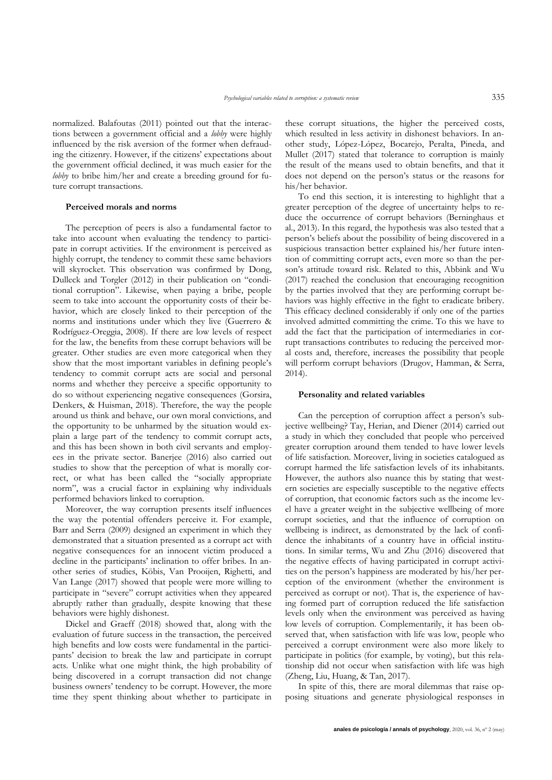normalized. Balafoutas (2011) pointed out that the interactions between a government official and a *lobby* were highly influenced by the risk aversion of the former when defrauding the citizenry. However, if the citizens' expectations about the government official declined, it was much easier for the *lobby* to bribe him/her and create a breeding ground for future corrupt transactions.

#### **Perceived morals and norms**

The perception of peers is also a fundamental factor to take into account when evaluating the tendency to participate in corrupt activities. If the environment is perceived as highly corrupt, the tendency to commit these same behaviors will skyrocket. This observation was confirmed by Dong, Dulleck and Torgler (2012) in their publication on "conditional corruption". Likewise, when paying a bribe, people seem to take into account the opportunity costs of their behavior, which are closely linked to their perception of the norms and institutions under which they live (Guerrero & Rodríguez-Oreggia, 2008). If there are low levels of respect for the law, the benefits from these corrupt behaviors will be greater. Other studies are even more categorical when they show that the most important variables in defining people's tendency to commit corrupt acts are social and personal norms and whether they perceive a specific opportunity to do so without experiencing negative consequences (Gorsira, Denkers, & Huisman, 2018). Therefore, the way the people around us think and behave, our own moral convictions, and the opportunity to be unharmed by the situation would explain a large part of the tendency to commit corrupt acts, and this has been shown in both civil servants and employees in the private sector. Banerjee (2016) also carried out studies to show that the perception of what is morally correct, or what has been called the "socially appropriate norm", was a crucial factor in explaining why individuals performed behaviors linked to corruption.

Moreover, the way corruption presents itself influences the way the potential offenders perceive it. For example, Barr and Serra (2009) designed an experiment in which they demonstrated that a situation presented as a corrupt act with negative consequences for an innocent victim produced a decline in the participants' inclination to offer bribes. In another series of studies, Köbis, Van Prooijen, Righetti, and Van Lange (2017) showed that people were more willing to participate in "severe" corrupt activities when they appeared abruptly rather than gradually, despite knowing that these behaviors were highly dishonest.

Dickel and Graeff (2018) showed that, along with the evaluation of future success in the transaction, the perceived high benefits and low costs were fundamental in the participants' decision to break the law and participate in corrupt acts. Unlike what one might think, the high probability of being discovered in a corrupt transaction did not change business owners' tendency to be corrupt. However, the more time they spent thinking about whether to participate in these corrupt situations, the higher the perceived costs, which resulted in less activity in dishonest behaviors. In another study, López-López, Bocarejo, Peralta, Pineda, and Mullet (2017) stated that tolerance to corruption is mainly the result of the means used to obtain benefits, and that it does not depend on the person's status or the reasons for his/her behavior.

To end this section, it is interesting to highlight that a greater perception of the degree of uncertainty helps to reduce the occurrence of corrupt behaviors (Berninghaus et al., 2013). In this regard, the hypothesis was also tested that a person's beliefs about the possibility of being discovered in a suspicious transaction better explained his/her future intention of committing corrupt acts, even more so than the person's attitude toward risk. Related to this, Abbink and Wu (2017) reached the conclusion that encouraging recognition by the parties involved that they are performing corrupt behaviors was highly effective in the fight to eradicate bribery. This efficacy declined considerably if only one of the parties involved admitted committing the crime. To this we have to add the fact that the participation of intermediaries in corrupt transactions contributes to reducing the perceived moral costs and, therefore, increases the possibility that people will perform corrupt behaviors (Drugov, Hamman, & Serra, 2014).

#### **Personality and related variables**

Can the perception of corruption affect a person's subjective wellbeing? Tay, Herian, and Diener (2014) carried out a study in which they concluded that people who perceived greater corruption around them tended to have lower levels of life satisfaction. Moreover, living in societies catalogued as corrupt harmed the life satisfaction levels of its inhabitants. However, the authors also nuance this by stating that western societies are especially susceptible to the negative effects of corruption, that economic factors such as the income level have a greater weight in the subjective wellbeing of more corrupt societies, and that the influence of corruption on wellbeing is indirect, as demonstrated by the lack of confidence the inhabitants of a country have in official institutions. In similar terms, Wu and Zhu (2016) discovered that the negative effects of having participated in corrupt activities on the person's happiness are moderated by his/her perception of the environment (whether the environment is perceived as corrupt or not). That is, the experience of having formed part of corruption reduced the life satisfaction levels only when the environment was perceived as having low levels of corruption. Complementarily, it has been observed that, when satisfaction with life was low, people who perceived a corrupt environment were also more likely to participate in politics (for example, by voting), but this relationship did not occur when satisfaction with life was high (Zheng, Liu, Huang, & Tan, 2017).

In spite of this, there are moral dilemmas that raise opposing situations and generate physiological responses in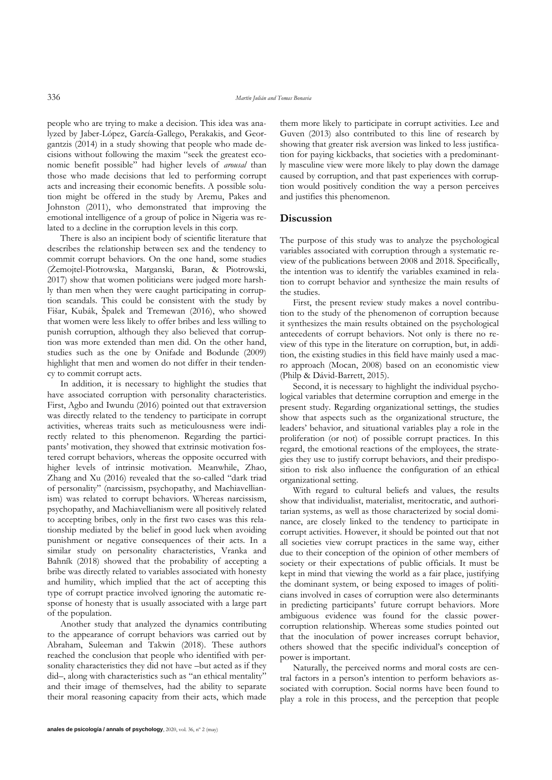people who are trying to make a decision. This idea was analyzed by Jaber-López, García-Gallego, Perakakis, and Georgantzis (2014) in a study showing that people who made decisions without following the maxim "seek the greatest economic benefit possible" had higher levels of *arousal* than those who made decisions that led to performing corrupt acts and increasing their economic benefits. A possible solution might be offered in the study by Aremu, Pakes and Johnston (2011), who demonstrated that improving the emotional intelligence of a group of police in Nigeria was related to a decline in the corruption levels in this corp.

There is also an incipient body of scientific literature that describes the relationship between sex and the tendency to commit corrupt behaviors. On the one hand, some studies (Żemojtel-Piotrowska, Marganski, Baran, & Piotrowski, 2017) show that women politicians were judged more harshly than men when they were caught participating in corruption scandals. This could be consistent with the study by Fišar, Kubák, Špalek and Tremewan (2016), who showed that women were less likely to offer bribes and less willing to punish corruption, although they also believed that corruption was more extended than men did. On the other hand, studies such as the one by Onifade and Bodunde (2009) highlight that men and women do not differ in their tendency to commit corrupt acts.

In addition, it is necessary to highlight the studies that have associated corruption with personality characteristics. First, Agbo and Iwundu (2016) pointed out that extraversion was directly related to the tendency to participate in corrupt activities, whereas traits such as meticulousness were indirectly related to this phenomenon. Regarding the participants' motivation, they showed that extrinsic motivation fostered corrupt behaviors, whereas the opposite occurred with higher levels of intrinsic motivation. Meanwhile, Zhao, Zhang and Xu (2016) revealed that the so-called "dark triad of personality" (narcissism, psychopathy, and Machiavellianism) was related to corrupt behaviors. Whereas narcissism, psychopathy, and Machiavellianism were all positively related to accepting bribes, only in the first two cases was this relationship mediated by the belief in good luck when avoiding punishment or negative consequences of their acts. In a similar study on personality characteristics, Vranka and Bahník (2018) showed that the probability of accepting a bribe was directly related to variables associated with honesty and humility, which implied that the act of accepting this type of corrupt practice involved ignoring the automatic response of honesty that is usually associated with a large part of the population.

Another study that analyzed the dynamics contributing to the appearance of corrupt behaviors was carried out by Abraham, Suleeman and Takwin (2018). These authors reached the conclusion that people who identified with personality characteristics they did not have –but acted as if they did–, along with characteristics such as "an ethical mentality" and their image of themselves, had the ability to separate their moral reasoning capacity from their acts, which made

them more likely to participate in corrupt activities. Lee and Guven (2013) also contributed to this line of research by showing that greater risk aversion was linked to less justification for paying kickbacks, that societies with a predominantly masculine view were more likely to play down the damage caused by corruption, and that past experiences with corruption would positively condition the way a person perceives and justifies this phenomenon.

# **Discussion**

The purpose of this study was to analyze the psychological variables associated with corruption through a systematic review of the publications between 2008 and 2018. Specifically, the intention was to identify the variables examined in relation to corrupt behavior and synthesize the main results of the studies.

First, the present review study makes a novel contribution to the study of the phenomenon of corruption because it synthesizes the main results obtained on the psychological antecedents of corrupt behaviors. Not only is there no review of this type in the literature on corruption, but, in addition, the existing studies in this field have mainly used a macro approach (Mocan, 2008) based on an economistic view (Philp & Dávid-Barrett, 2015).

Second, it is necessary to highlight the individual psychological variables that determine corruption and emerge in the present study. Regarding organizational settings, the studies show that aspects such as the organizational structure, the leaders' behavior, and situational variables play a role in the proliferation (or not) of possible corrupt practices. In this regard, the emotional reactions of the employees, the strategies they use to justify corrupt behaviors, and their predisposition to risk also influence the configuration of an ethical organizational setting.

With regard to cultural beliefs and values, the results show that individualist, materialist, meritocratic, and authoritarian systems, as well as those characterized by social dominance, are closely linked to the tendency to participate in corrupt activities. However, it should be pointed out that not all societies view corrupt practices in the same way, either due to their conception of the opinion of other members of society or their expectations of public officials. It must be kept in mind that viewing the world as a fair place, justifying the dominant system, or being exposed to images of politicians involved in cases of corruption were also determinants in predicting participants' future corrupt behaviors. More ambiguous evidence was found for the classic powercorruption relationship. Whereas some studies pointed out that the inoculation of power increases corrupt behavior, others showed that the specific individual's conception of power is important.

Naturally, the perceived norms and moral costs are central factors in a person's intention to perform behaviors associated with corruption. Social norms have been found to play a role in this process, and the perception that people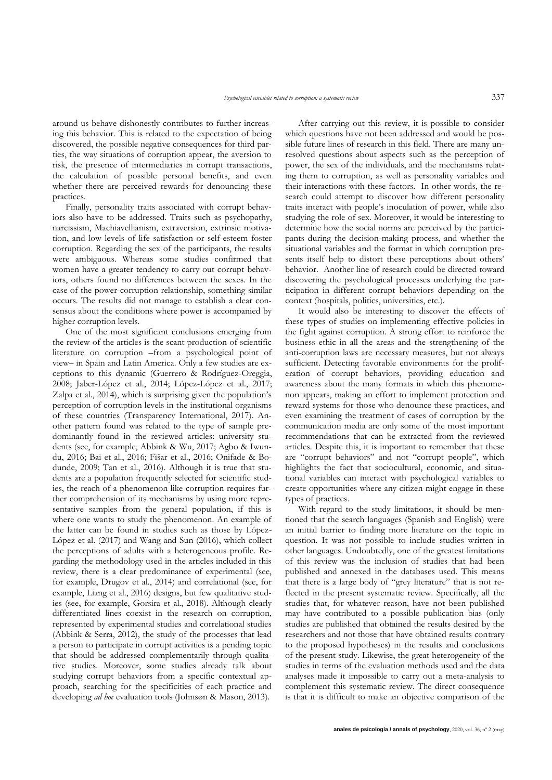around us behave dishonestly contributes to further increasing this behavior. This is related to the expectation of being discovered, the possible negative consequences for third parties, the way situations of corruption appear, the aversion to risk, the presence of intermediaries in corrupt transactions, the calculation of possible personal benefits, and even whether there are perceived rewards for denouncing these practices.

Finally, personality traits associated with corrupt behaviors also have to be addressed. Traits such as psychopathy, narcissism, Machiavellianism, extraversion, extrinsic motivation, and low levels of life satisfaction or self-esteem foster corruption. Regarding the sex of the participants, the results were ambiguous. Whereas some studies confirmed that women have a greater tendency to carry out corrupt behaviors, others found no differences between the sexes. In the case of the power-corruption relationship, something similar occurs. The results did not manage to establish a clear consensus about the conditions where power is accompanied by higher corruption levels.

One of the most significant conclusions emerging from the review of the articles is the scant production of scientific literature on corruption –from a psychological point of view– in Spain and Latin America. Only a few studies are exceptions to this dynamic (Guerrero & Rodríguez-Oreggia, 2008; Jaber-López et al., 2014; López-López et al., 2017; Zalpa et al., 2014), which is surprising given the population's perception of corruption levels in the institutional organisms of these countries (Transparency International, 2017). Another pattern found was related to the type of sample predominantly found in the reviewed articles: university students (see, for example, Abbink & Wu, 2017; Agbo & Iwundu, 2016; Bai et al., 2016; Fišar et al., 2016; Onifade & Bodunde, 2009; Tan et al., 2016). Although it is true that students are a population frequently selected for scientific studies, the reach of a phenomenon like corruption requires further comprehension of its mechanisms by using more representative samples from the general population, if this is where one wants to study the phenomenon. An example of the latter can be found in studies such as those by López-López et al. (2017) and Wang and Sun (2016), which collect the perceptions of adults with a heterogeneous profile. Regarding the methodology used in the articles included in this review, there is a clear predominance of experimental (see, for example, Drugov et al., 2014) and correlational (see, for example, Liang et al., 2016) designs, but few qualitative studies (see, for example, Gorsira et al., 2018). Although clearly differentiated lines coexist in the research on corruption, represented by experimental studies and correlational studies (Abbink & Serra, 2012), the study of the processes that lead a person to participate in corrupt activities is a pending topic that should be addressed complementarily through qualitative studies. Moreover, some studies already talk about studying corrupt behaviors from a specific contextual approach, searching for the specificities of each practice and developing *ad hoc* evaluation tools (Johnsøn & Mason, 2013).

After carrying out this review, it is possible to consider which questions have not been addressed and would be possible future lines of research in this field. There are many unresolved questions about aspects such as the perception of power, the sex of the individuals, and the mechanisms relating them to corruption, as well as personality variables and their interactions with these factors. In other words, the research could attempt to discover how different personality traits interact with people's inoculation of power, while also studying the role of sex. Moreover, it would be interesting to determine how the social norms are perceived by the participants during the decision-making process, and whether the situational variables and the format in which corruption presents itself help to distort these perceptions about others' behavior. Another line of research could be directed toward discovering the psychological processes underlying the participation in different corrupt behaviors depending on the context (hospitals, politics, universities, etc.).

It would also be interesting to discover the effects of these types of studies on implementing effective policies in the fight against corruption. A strong effort to reinforce the business ethic in all the areas and the strengthening of the anti-corruption laws are necessary measures, but not always sufficient. Detecting favorable environments for the proliferation of corrupt behaviors, providing education and awareness about the many formats in which this phenomenon appears, making an effort to implement protection and reward systems for those who denounce these practices, and even examining the treatment of cases of corruption by the communication media are only some of the most important recommendations that can be extracted from the reviewed articles. Despite this, it is important to remember that these are "corrupt behaviors" and not "corrupt people", which highlights the fact that sociocultural, economic, and situational variables can interact with psychological variables to create opportunities where any citizen might engage in these types of practices.

With regard to the study limitations, it should be mentioned that the search languages (Spanish and English) were an initial barrier to finding more literature on the topic in question. It was not possible to include studies written in other languages. Undoubtedly, one of the greatest limitations of this review was the inclusion of studies that had been published and annexed in the databases used. This means that there is a large body of "grey literature" that is not reflected in the present systematic review. Specifically, all the studies that, for whatever reason, have not been published may have contributed to a possible publication bias (only studies are published that obtained the results desired by the researchers and not those that have obtained results contrary to the proposed hypotheses) in the results and conclusions of the present study. Likewise, the great heterogeneity of the studies in terms of the evaluation methods used and the data analyses made it impossible to carry out a meta-analysis to complement this systematic review. The direct consequence is that it is difficult to make an objective comparison of the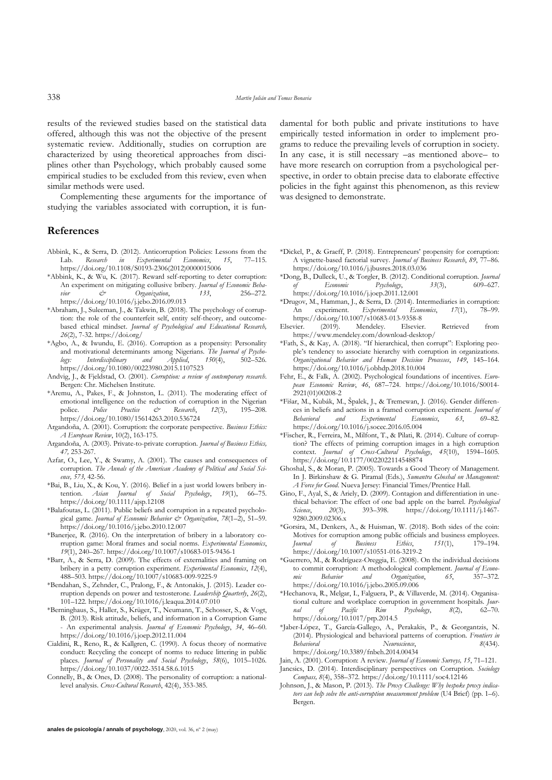results of the reviewed studies based on the statistical data offered, although this was not the objective of the present systematic review. Additionally, studies on corruption are characterized by using theoretical approaches from disciplines other than Psychology, which probably caused some empirical studies to be excluded from this review, even when similar methods were used.

Complementing these arguments for the importance of studying the variables associated with corruption, it is fun-

#### **References**

- Abbink, K., & Serra, D. (2012). Anticorruption Policies: Lessons from the Lab. *Research in Experimental Economics*, *15*, 77–115. https://doi.org/10.1108/S0193-2306(2012)0000015006
- \*Abbink, K., & Wu, K. (2017). Reward self-reporting to deter corruption: An experiment on mitigating collusive bribery. *Journal of Economic Behavior & Organization*, *133*, 256–272. https://doi.org/10.1016/j.jebo.2016.09.013
- \*Abraham, J., Suleeman, J., & Takwin, B. (2018). The psychology of corruption: the role of the counterfeit self, entity self-theory, and outcomebased ethical mindset. *Journal of Psychological and Educational Research, 26*(2), 7-32. https://doi.org/
- \*Agbo, A., & Iwundu, E. (2016). Corruption as a propensity: Personality and motivational determinants among Nigerians. *The Journal of Psychology: Interdisciplinary and Applied*, *150*(4), 502–526. https://doi.org/10.1080/00223980.2015.1107523
- Andvig, J., & Fjeldstad, O. (2001). *Corruption: a review of contemporary research*. Bergen: Chr. Michelsen Institute.
- \*Aremu, A., Pakes, F., & Johnston, L. (2011). The moderating effect of emotional intelligence on the reduction of corruption in the Nigerian police. Police Practice  $\phi$  Research, 12(3), 195–208. police. *Police Practice & Research*, *12*(3), 195–208. https://doi.org/10.1080/15614263.2010.536724
- Argandoña, A. (2001). Corruption: the corporate perspective. *Business Ethics: A European Review*, 10(2), 163-175.
- Argandoña, A. (2003). Private-to-private corruption. *Journal of Business Ethics, 47,* 253-267.
- Azfar, O., Lee, Y., & Swamy, A. (2001). The causes and consequences of corruption. *The Annals of the American Academy of Political and Social Science, 573,* 42-56.
- \*Bai, B., Liu, X., & Kou, Y. (2016). Belief in a just world lowers bribery intention. *Asian Journal of Social Psychology*, *19*(1), 66–75. https://doi.org/10.1111/ajsp.12108
- \*Balafoutas, L. (2011). Public beliefs and corruption in a repeated psychological game. *Journal of Economic Behavior & Organization*, *78*(1–2), 51–59. https://doi.org/10.1016/j.jebo.2010.12.007
- \*Banerjee, R. (2016). On the interpretation of bribery in a laboratory corruption game: Moral frames and social norms. *Experimental Economics*, *19*(1), 240–267. https://doi.org/10.1007/s10683-015-9436-1
- \*Barr, A., & Serra, D. (2009). The effects of externalities and framing on bribery in a petty corruption experiment. *Experimental Economics*, *12*(4), 488–503. https://doi.org/10.1007/s10683-009-9225-9
- \*Bendahan, S., Zehnder, C., Pralong, F., & Antonakis, J. (2015). Leader corruption depends on power and testosterone. *Leadership Quarterly*, *26*(2), 101–122. https://doi.org/10.1016/j.leaqua.2014.07.010
- \*Berninghaus, S., Haller, S., Krüger, T., Neumann, T., Schosser, S., & Vogt, B. (2013). Risk attitude, beliefs, and information in a Corruption Game - An experimental analysis. *Journal of Economic Psychology*, *34*, 46–60. https://doi.org/10.1016/j.joep.2012.11.004
- Cialdini, R., Reno, R., & Kallgren, C. (1990). A focus theory of normative conduct: Recycling the concept of norms to reduce littering in public places. *Journal of Personality and Social Psychology*, *58*(6), 1015–1026. https://doi.org/10.1037/0022-3514.58.6.1015
- Connelly, B., & Ones, D. (2008). The personality of corruption: a nationallevel analysis. *Cross-Cultural Research*, 42(4), 353-385.

damental for both public and private institutions to have empirically tested information in order to implement programs to reduce the prevailing levels of corruption in society. In any case, it is still necessary –as mentioned above– to have more research on corruption from a psychological perspective, in order to obtain precise data to elaborate effective policies in the fight against this phenomenon, as this review was designed to demonstrate.

- \*Dickel, P., & Graeff, P. (2018). Entrepreneurs' propensity for corruption: A vignette-based factorial survey. *Journal of Business Research*, *89*, 77–86. https://doi.org/10.1016/j.jbusres.2018.03.036
- \*Dong, B., Dulleck, U., & Torgler, B. (2012). Conditional corruption. *Journal of Economic Psychology*, *33*(3), 609–627. https://doi.org/10.1016/j.joep.2011.12.001
- \*Drugov, M., Hamman, J., & Serra, D. (2014). Intermediaries in corruption: An experiment. *Experimental Economics*, *17*(1), 78–99. https://doi.org/10.1007/s10683-013-9358-8
- Elsevier. (2019). Mendeley. Elsevier. Retrieved from https://www.mendeley.com/download-desktop/
- \*Fath, S., & Kay, A. (2018). "If hierarchical, then corrupt": Exploring people's tendency to associate hierarchy with corruption in organizations. *Organizational Behavior and Human Decision Processes*, *149*, 145–164. https://doi.org/10.1016/j.obhdp.2018.10.004
- Fehr, E., & Falk, A. (2002). Psychological foundations of incentives. *European Economic Review*, *46*, 687–724. https://doi.org/10.1016/S0014- 2921(01)00208-2
- \*Fišar, M., Kubák, M., Špalek, J., & Tremewan, J. (2016). Gender differences in beliefs and actions in a framed corruption experiment. *Journal of*  Behavioral and Experimental Economics, 63, https://doi.org/10.1016/j.socec.2016.05.004
- \*Fischer, R., Ferreira, M., Milfont, T., & Pilati, R. (2014). Culture of corruption? The effects of priming corruption images in a high corruption context. *Journal of Cross-Cultural Psychology*, *45*(10), 1594–1605. https://doi.org/10.1177/0022022114548874
- Ghoshal, S., & Moran, P. (2005). Towards a Good Theory of Management. In J. Birkinshaw & G. Piramal (Eds.), *Sumantra Ghoshal on Management: A Force for Good*. Nueva Jersey: Financial Times/Prentice Hall.
- Gino, F., Ayal, S., & Ariely, D. (2009). Contagion and differentiation in unethical behavior: The effect of one bad apple on the barrel. *Psychological Science.* 20(3). 393–398. https://doi.org/10.1111/i.1467-*Science*, *20*(3), 393–398. https://doi.org/10.1111/j.1467- 9280.2009.02306.x
- \*Gorsira, M., Denkers, A., & Huisman, W. (2018). Both sides of the coin: Motives for corruption among public officials and business employees.<br> *Journal* of *Business Ethics*, 151(1), 179–194. *Journal* of *Business Ethics*, 151(1), https://doi.org/10.1007/s10551-016-3219-2
- \*Guerrero, M., & Rodríguez-Oreggia, E. (2008). On the individual decisions to commit corruption: A methodological complement. *Journal of Economic Behavior and Organization*, *65*, 357–372. https://doi.org/10.1016/j.jebo.2005.09.006
- \*Hechanova, R., Melgar, I., Falguera, P., & Villaverde, M. (2014). Organisational culture and workplace corruption in government hospitals. *Journal of Pacific Rim Psychology*, *8*(2), 62–70. https://doi.org/10.1017/prp.2014.5
- \*Jaber-López, T., García-Gallego, A., Perakakis, P., & Georgantzis, N. (2014). Physiological and behavioral patterns of corruption. *Frontiers in Behavioral Neuroscience*, https://doi.org/10.3389/fnbeh.2014.00434
- Jain, A. (2001). Corruption: A review. *Journal of Economic Surveys, 15*, 71–121.
- Jancsics, D. (2014). Interdisciplinary perspectives on Corruption. *Sociology Compass, 8*(4), 358–372. https://doi.org/10.1111/soc4.12146
- Johnsøn, J., & Mason, P. (2013). *The Proxy Challenge: Why bespoke proxy indicators can help solve the anti-corruption measurement problem* (U4 Brief) (pp. 1–6). Bergen.